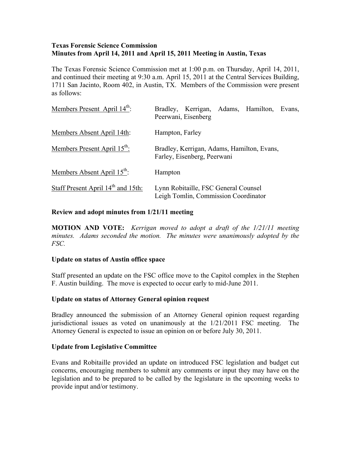# **Texas Forensic Science Commission Minutes from April 14, 2011 and April 15, 2011 Meeting in Austin, Texas**

The Texas Forensic Science Commission met at 1:00 p.m. on Thursday, April 14, 2011, and continued their meeting at 9:30 a.m. April 15, 2011 at the Central Services Building, 1711 San Jacinto, Room 402, in Austin, TX. Members of the Commission were present as follows:

| Members Present April 14 <sup>th</sup> :       | Bradley, Kerrigan, Adams, Hamilton,<br>Evans,<br>Peerwani, Eisenberg         |
|------------------------------------------------|------------------------------------------------------------------------------|
| Members Absent April 14th:                     | Hampton, Farley                                                              |
| Members Present April 15 <sup>th</sup> :       | Bradley, Kerrigan, Adams, Hamilton, Evans,<br>Farley, Eisenberg, Peerwani    |
| Members Absent April 15 <sup>th</sup> :        | Hampton                                                                      |
| Staff Present April 14 <sup>th</sup> and 15th: | Lynn Robitaille, FSC General Counsel<br>Leigh Tomlin, Commission Coordinator |

# **Review and adopt minutes from 1/21/11 meeting**

**MOTION AND VOTE:** *Kerrigan moved to adopt a draft of the 1/21/11 meeting minutes. Adams seconded the motion. The minutes were unanimously adopted by the FSC.* 

## **Update on status of Austin office space**

Staff presented an update on the FSC office move to the Capitol complex in the Stephen F. Austin building. The move is expected to occur early to mid-June 2011.

# **Update on status of Attorney General opinion request**

Bradley announced the submission of an Attorney General opinion request regarding jurisdictional issues as voted on unanimously at the 1/21/2011 FSC meeting. The Attorney General is expected to issue an opinion on or before July 30, 2011.

## **Update from Legislative Committee**

Evans and Robitaille provided an update on introduced FSC legislation and budget cut concerns, encouraging members to submit any comments or input they may have on the legislation and to be prepared to be called by the legislature in the upcoming weeks to provide input and/or testimony.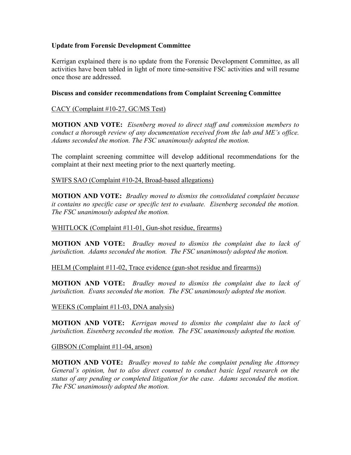# **Update from Forensic Development Committee**

Kerrigan explained there is no update from the Forensic Development Committee, as all activities have been tabled in light of more time-sensitive FSC activities and will resume once those are addressed.

# **Discuss and consider recommendations from Complaint Screening Committee**

# CACY (Complaint #10-27, GC/MS Test)

**MOTION AND VOTE:** *Eisenberg moved to direct staff and commission members to conduct a thorough review of any documentation received from the lab and ME's office. Adams seconded the motion. The FSC unanimously adopted the motion.*

The complaint screening committee will develop additional recommendations for the complaint at their next meeting prior to the next quarterly meeting.

SWIFS SAO (Complaint #10-24, Broad-based allegations)

**MOTION AND VOTE:** *Bradley moved to dismiss the consolidated complaint because it contains no specific case or specific test to evaluate. Eisenberg seconded the motion. The FSC unanimously adopted the motion.* 

## WHITLOCK (Complaint #11-01, Gun-shot residue, firearms)

**MOTION AND VOTE:** *Bradley moved to dismiss the complaint due to lack of jurisdiction. Adams seconded the motion. The FSC unanimously adopted the motion.* 

## HELM (Complaint #11-02, Trace evidence (gun-shot residue and firearms))

**MOTION AND VOTE:** *Bradley moved to dismiss the complaint due to lack of jurisdiction. Evans seconded the motion. The FSC unanimously adopted the motion.*

WEEKS (Complaint #11-03, DNA analysis)

**MOTION AND VOTE:** *Kerrigan moved to dismiss the complaint due to lack of jurisdiction. Eisenberg seconded the motion. The FSC unanimously adopted the motion.*

GIBSON (Complaint #11-04, arson)

**MOTION AND VOTE:** *Bradley moved to table the complaint pending the Attorney General's opinion, but to also direct counsel to conduct basic legal research on the status of any pending or completed litigation for the case. Adams seconded the motion. The FSC unanimously adopted the motion.*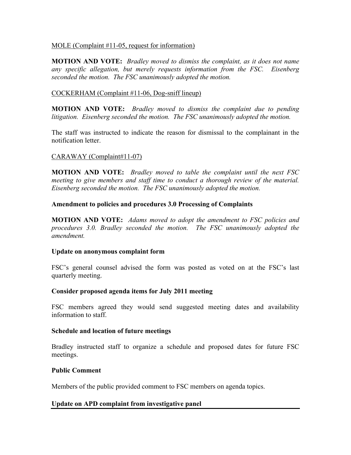## MOLE (Complaint #11-05, request for information)

**MOTION AND VOTE:** *Bradley moved to dismiss the complaint, as it does not name any specific allegation, but merely requests information from the FSC. Eisenberg seconded the motion. The FSC unanimously adopted the motion.*

## COCKERHAM (Complaint #11-06, Dog-sniff lineup)

**MOTION AND VOTE:** *Bradley moved to dismiss the complaint due to pending litigation. Eisenberg seconded the motion. The FSC unanimously adopted the motion.*

The staff was instructed to indicate the reason for dismissal to the complainant in the notification letter.

## CARAWAY (Complaint#11-07)

**MOTION AND VOTE:** *Bradley moved to table the complaint until the next FSC meeting to give members and staff time to conduct a thorough review of the material. Eisenberg seconded the motion. The FSC unanimously adopted the motion.*

## **Amendment to policies and procedures 3.0 Processing of Complaints**

**MOTION AND VOTE:** *Adams moved to adopt the amendment to FSC policies and procedures 3.0. Bradley seconded the motion. The FSC unanimously adopted the amendment.*

#### **Update on anonymous complaint form**

FSC's general counsel advised the form was posted as voted on at the FSC's last quarterly meeting.

## **Consider proposed agenda items for July 2011 meeting**

FSC members agreed they would send suggested meeting dates and availability information to staff.

#### **Schedule and location of future meetings**

Bradley instructed staff to organize a schedule and proposed dates for future FSC meetings.

#### **Public Comment**

Members of the public provided comment to FSC members on agenda topics.

## **Update on APD complaint from investigative panel**